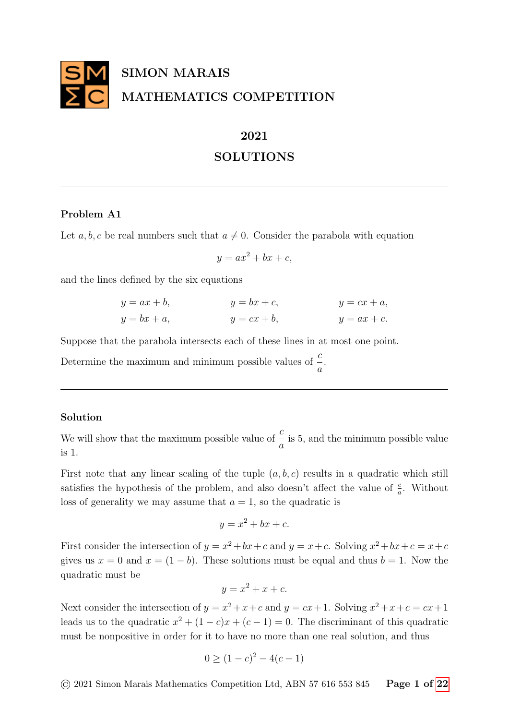

# 2021

# SOLUTIONS

## Problem A1

Let a, b, c be real numbers such that  $a \neq 0$ . Consider the parabola with equation

$$
y = ax^2 + bx + c,
$$

and the lines defined by the six equations

$$
y = ax + b,
$$
  
\n
$$
y = bx + c,
$$
  
\n
$$
y = cx + a,
$$
  
\n
$$
y = cx + a,
$$
  
\n
$$
y = ax + c.
$$
  
\n
$$
y = ax + c.
$$

Suppose that the parabola intersects each of these lines in at most one point.

Determine the maximum and minimum possible values of  $\frac{c}{c}$ a .

## Solution

We will show that the maximum possible value of  $\frac{c}{c}$ a is 5, and the minimum possible value is 1.

First note that any linear scaling of the tuple  $(a, b, c)$  results in a quadratic which still satisfies the hypothesis of the problem, and also doesn't affect the value of  $\frac{c}{a}$ . Without loss of generality we may assume that  $a = 1$ , so the quadratic is

$$
y = x^2 + bx + c.
$$

First consider the intersection of  $y = x^2 + bx + c$  and  $y = x + c$ . Solving  $x^2 + bx + c = x + c$ gives us  $x = 0$  and  $x = (1 - b)$ . These solutions must be equal and thus  $b = 1$ . Now the quadratic must be

$$
y = x^2 + x + c.
$$

Next consider the intersection of  $y = x^2 + x + c$  and  $y = cx + 1$ . Solving  $x^2 + x + c = cx + 1$ leads us to the quadratic  $x^2 + (1 - c)x + (c - 1) = 0$ . The discriminant of this quadratic must be nonpositive in order for it to have no more than one real solution, and thus

$$
0 \ge (1 - c)^2 - 4(c - 1)
$$

 $\odot$  2021 Simon Marais Mathematics Competition Ltd, ABN 57 616 553 845 Page 1 of [22](#page-21-0)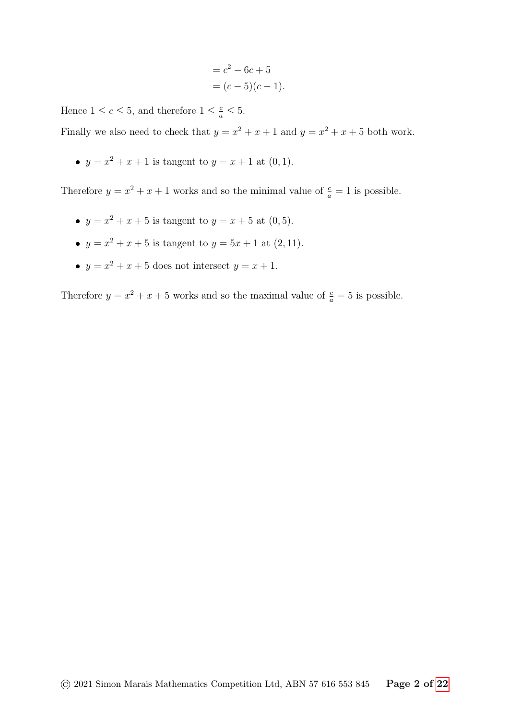$$
= c2 - 6c + 5
$$
  
=  $(c - 5)(c - 1)$ .

Hence  $1 \leq c \leq 5$ , and therefore  $1 \leq \frac{c}{a} \leq 5$ .

Finally we also need to check that  $y = x^2 + x + 1$  and  $y = x^2 + x + 5$  both work.

•  $y = x^2 + x + 1$  is tangent to  $y = x + 1$  at  $(0, 1)$ .

Therefore  $y = x^2 + x + 1$  works and so the minimal value of  $\frac{c}{a} = 1$  is possible.

- $y = x^2 + x + 5$  is tangent to  $y = x + 5$  at  $(0, 5)$ .
- $y = x^2 + x + 5$  is tangent to  $y = 5x + 1$  at  $(2, 11)$ .
- $y = x^2 + x + 5$  does not intersect  $y = x + 1$ .

Therefore  $y = x^2 + x + 5$  works and so the maximal value of  $\frac{c}{a} = 5$  is possible.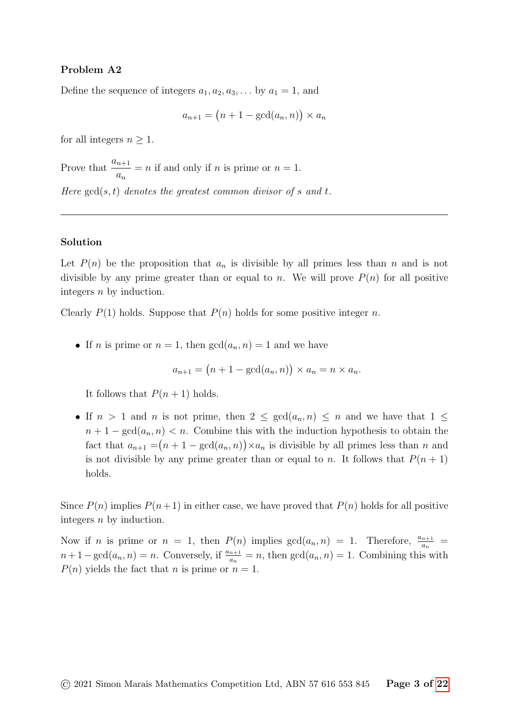# Problem A2

Define the sequence of integers  $a_1, a_2, a_3, \ldots$  by  $a_1 = 1$ , and

$$
a_{n+1} = (n+1 - \gcd(a_n, n)) \times a_n
$$

for all integers  $n \geq 1$ .

Prove that  $\frac{a_{n+1}}{a_n}$  $a_n$  $=n$  if and only if *n* is prime or  $n = 1$ .

Here  $gcd(s, t)$  denotes the greatest common divisor of s and t.

## Solution

Let  $P(n)$  be the proposition that  $a_n$  is divisible by all primes less than n and is not divisible by any prime greater than or equal to n. We will prove  $P(n)$  for all positive integers n by induction.

Clearly  $P(1)$  holds. Suppose that  $P(n)$  holds for some positive integer n.

If n is prime or  $n = 1$ , then  $gcd(a_n, n) = 1$  and we have

$$
a_{n+1} = (n+1 - \gcd(a_n, n)) \times a_n = n \times a_n.
$$

It follows that  $P(n + 1)$  holds.

If  $n > 1$  and n is not prime, then  $2 \le \gcd(a_n, n) \le n$  and we have that  $1 \le$  $n + 1 - \gcd(a_n, n) < n$ . Combine this with the induction hypothesis to obtain the fact that  $a_{n+1} = (n+1 - \gcd(a_n, n)) \times a_n$  is divisible by all primes less than n and is not divisible by any prime greater than or equal to n. It follows that  $P(n + 1)$ holds.

Since  $P(n)$  implies  $P(n+1)$  in either case, we have proved that  $P(n)$  holds for all positive integers n by induction.

Now if *n* is prime or  $n = 1$ , then  $P(n)$  implies  $gcd(a_n, n) = 1$ . Therefore,  $\frac{a_{n+1}}{a_n}$  $n+1-\gcd(a_n, n) = n$ . Conversely, if  $\frac{a_{n+1}}{a_n} = n$ , then  $\gcd(a_n, n) = 1$ . Combining this with  $P(n)$  yields the fact that n is prime or  $n = 1$ .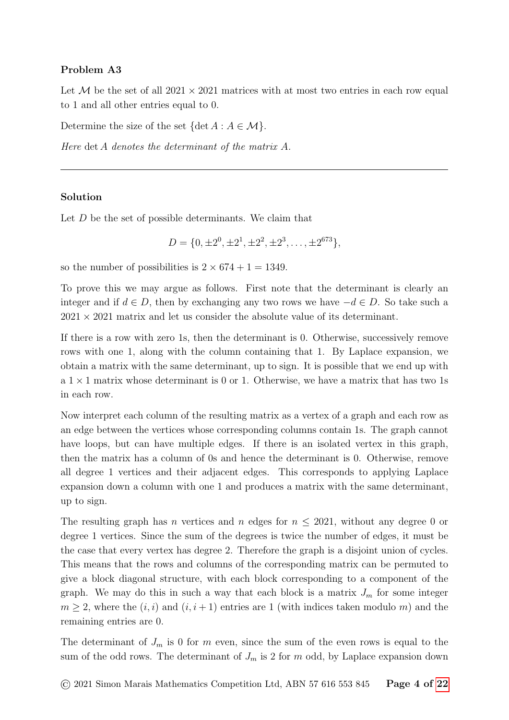# Problem A3

Let M be the set of all  $2021 \times 2021$  matrices with at most two entries in each row equal to 1 and all other entries equal to 0.

Determine the size of the set  $\{\det A : A \in \mathcal{M}\}.$ 

Here det A denotes the determinant of the matrix A.

# Solution

Let D be the set of possible determinants. We claim that

$$
D = \{0, \pm 2^0, \pm 2^1, \pm 2^2, \pm 2^3, \dots, \pm 2^{673}\},\
$$

so the number of possibilities is  $2 \times 674 + 1 = 1349$ .

To prove this we may argue as follows. First note that the determinant is clearly an integer and if  $d \in D$ , then by exchanging any two rows we have  $-d \in D$ . So take such a  $2021 \times 2021$  matrix and let us consider the absolute value of its determinant.

If there is a row with zero 1s, then the determinant is 0. Otherwise, successively remove rows with one 1, along with the column containing that 1. By Laplace expansion, we obtain a matrix with the same determinant, up to sign. It is possible that we end up with a  $1 \times 1$  matrix whose determinant is 0 or 1. Otherwise, we have a matrix that has two 1s in each row.

Now interpret each column of the resulting matrix as a vertex of a graph and each row as an edge between the vertices whose corresponding columns contain 1s. The graph cannot have loops, but can have multiple edges. If there is an isolated vertex in this graph, then the matrix has a column of 0s and hence the determinant is 0. Otherwise, remove all degree 1 vertices and their adjacent edges. This corresponds to applying Laplace expansion down a column with one 1 and produces a matrix with the same determinant, up to sign.

The resulting graph has n vertices and n edges for  $n \leq 2021$ , without any degree 0 or degree 1 vertices. Since the sum of the degrees is twice the number of edges, it must be the case that every vertex has degree 2. Therefore the graph is a disjoint union of cycles. This means that the rows and columns of the corresponding matrix can be permuted to give a block diagonal structure, with each block corresponding to a component of the graph. We may do this in such a way that each block is a matrix  $J_m$  for some integer  $m \geq 2$ , where the  $(i, i)$  and  $(i, i + 1)$  entries are 1 (with indices taken modulo m) and the remaining entries are 0.

The determinant of  $J_m$  is 0 for m even, since the sum of the even rows is equal to the sum of the odd rows. The determinant of  $J_m$  is 2 for m odd, by Laplace expansion down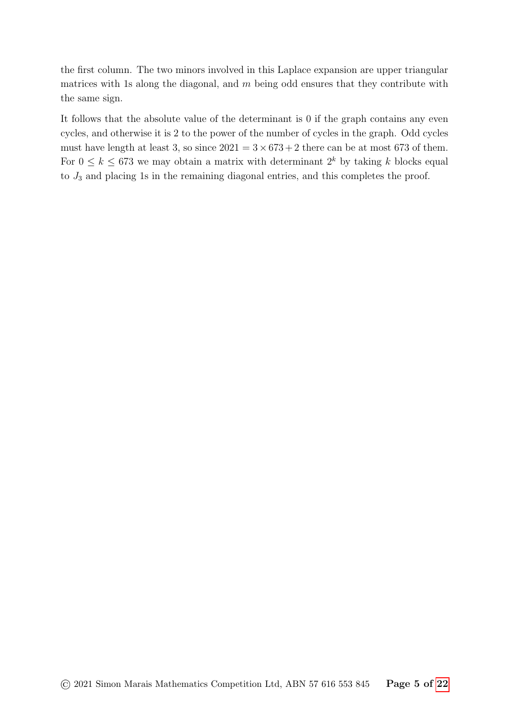the first column. The two minors involved in this Laplace expansion are upper triangular matrices with 1s along the diagonal, and  $m$  being odd ensures that they contribute with the same sign.

It follows that the absolute value of the determinant is 0 if the graph contains any even cycles, and otherwise it is 2 to the power of the number of cycles in the graph. Odd cycles must have length at least 3, so since  $2021 = 3 \times 673 + 2$  there can be at most 673 of them. For  $0 \leq k \leq 673$  we may obtain a matrix with determinant  $2^k$  by taking k blocks equal to  $J_3$  and placing 1s in the remaining diagonal entries, and this completes the proof.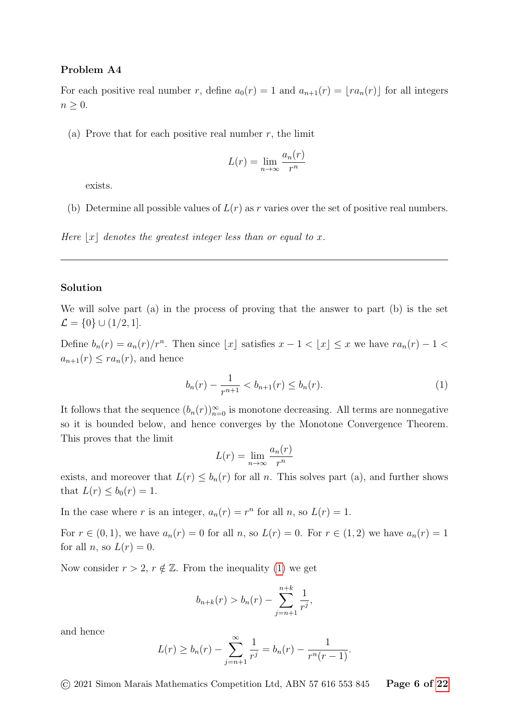## Problem A4

For each positive real number r, define  $a_0(r) = 1$  and  $a_{n+1}(r) = \lfloor ra_n(r) \rfloor$  for all integers  $n \geq 0$ .

(a) Prove that for each positive real number  $r$ , the limit

$$
L(r) = \lim_{n \to \infty} \frac{a_n(r)}{r^n}
$$

exists.

(b) Determine all possible values of  $L(r)$  as r varies over the set of positive real numbers.

Here  $|x|$  denotes the greatest integer less than or equal to x.

#### Solution

We will solve part (a) in the process of proving that the answer to part (b) is the set  $\mathcal{L} = \{0\} \cup (1/2, 1].$ 

Define  $b_n(r) = a_n(r)/r^n$ . Then since  $\lfloor x \rfloor$  satisfies  $x - 1 < \lfloor x \rfloor \leq x$  we have  $ra_n(r) - 1 <$  $a_{n+1}(r) \leq ra_n(r)$ , and hence

<span id="page-5-0"></span>
$$
b_n(r) - \frac{1}{r^{n+1}} < b_{n+1}(r) \le b_n(r). \tag{1}
$$

It follows that the sequence  $(b_n(r))_{n=0}^{\infty}$  is monotone decreasing. All terms are nonnegative so it is bounded below, and hence converges by the Monotone Convergence Theorem. This proves that the limit

$$
L(r) = \lim_{n \to \infty} \frac{a_n(r)}{r^n}
$$

exists, and moreover that  $L(r) \leq b_n(r)$  for all n. This solves part (a), and further shows that  $L(r) < b_0(r) = 1$ .

In the case where r is an integer,  $a_n(r) = r^n$  for all n, so  $L(r) = 1$ .

For  $r \in (0,1)$ , we have  $a_n(r) = 0$  for all n, so  $L(r) = 0$ . For  $r \in (1,2)$  we have  $a_n(r) = 1$ for all *n*, so  $L(r) = 0$ .

Now consider  $r > 2$ ,  $r \notin \mathbb{Z}$ . From the inequality [\(1\)](#page-5-0) we get

$$
b_{n+k}(r) > b_n(r) - \sum_{j=n+1}^{n+k} \frac{1}{r^j},
$$

and hence

$$
L(r) \ge b_n(r) - \sum_{j=n+1}^{\infty} \frac{1}{r^j} = b_n(r) - \frac{1}{r^n(r-1)}.
$$

 $\odot$  2021 Simon Marais Mathematics Competition Ltd, ABN 57 616 553 845 Page 6 of [22](#page-21-0)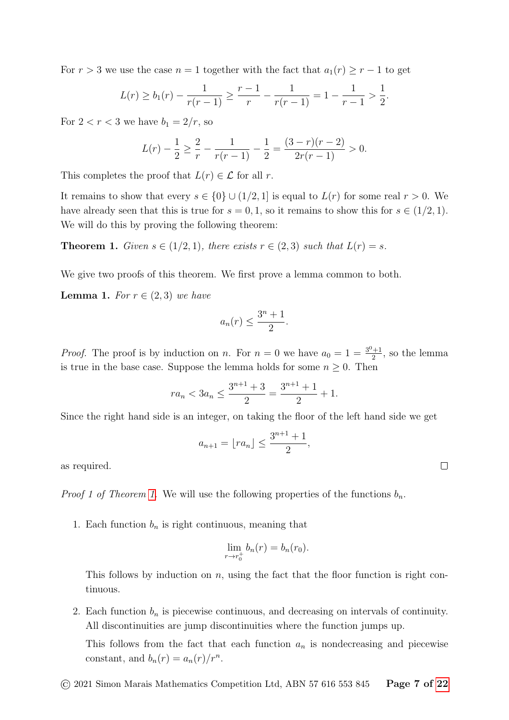For  $r > 3$  we use the case  $n = 1$  together with the fact that  $a_1(r) \geq r - 1$  to get

$$
L(r) \ge b_1(r) - \frac{1}{r(r-1)} \ge \frac{r-1}{r} - \frac{1}{r(r-1)} = 1 - \frac{1}{r-1} > \frac{1}{2}.
$$

For  $2 < r < 3$  we have  $b_1 = 2/r$ , so

$$
L(r) - \frac{1}{2} \ge \frac{2}{r} - \frac{1}{r(r-1)} - \frac{1}{2} = \frac{(3-r)(r-2)}{2r(r-1)} > 0.
$$

This completes the proof that  $L(r) \in \mathcal{L}$  for all r.

It remains to show that every  $s \in \{0\} \cup (1/2, 1]$  is equal to  $L(r)$  for some real  $r > 0$ . We have already seen that this is true for  $s = 0, 1$ , so it remains to show this for  $s \in (1/2, 1)$ . We will do this by proving the following theorem:

<span id="page-6-0"></span>**Theorem 1.** Given  $s \in (1/2, 1)$ , there exists  $r \in (2, 3)$  such that  $L(r) = s$ .

We give two proofs of this theorem. We first prove a lemma common to both.

<span id="page-6-1"></span>**Lemma 1.** For  $r \in (2,3)$  we have

$$
a_n(r) \le \frac{3^n + 1}{2}.
$$

*Proof.* The proof is by induction on n. For  $n = 0$  we have  $a_0 = 1 = \frac{3^0 + 1}{2}$  $\frac{1}{2}$ , so the lemma is true in the base case. Suppose the lemma holds for some  $n \geq 0$ . Then

$$
ra_n < 3a_n \le \frac{3^{n+1} + 3}{2} = \frac{3^{n+1} + 1}{2} + 1.
$$

Since the right hand side is an integer, on taking the floor of the left hand side we get

$$
a_{n+1} = \lfloor ra_n \rfloor \le \frac{3^{n+1} + 1}{2},
$$

as required.

*Proof 1 of Theorem [1.](#page-6-0)* We will use the following properties of the functions  $b_n$ .

1. Each function  $b_n$  is right continuous, meaning that

$$
\lim_{r \to r_0^+} b_n(r) = b_n(r_0).
$$

This follows by induction on  $n$ , using the fact that the floor function is right continuous.

2. Each function  $b_n$  is piecewise continuous, and decreasing on intervals of continuity. All discontinuities are jump discontinuities where the function jumps up.

This follows from the fact that each function  $a_n$  is nondecreasing and piecewise constant, and  $b_n(r) = a_n(r)/r^n$ .

 $\Box$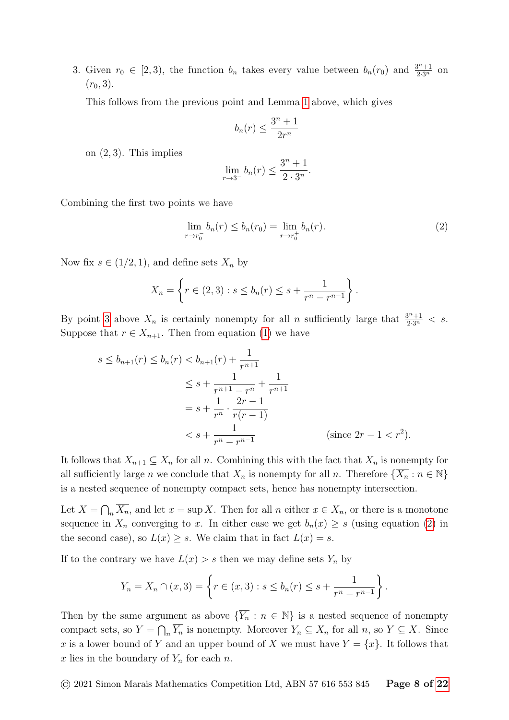<span id="page-7-0"></span>3. Given  $r_0 \in [2,3)$ , the function  $b_n$  takes every value between  $b_n(r_0)$  and  $\frac{3^n+1}{2\cdot 3^n}$  on  $(r_0, 3)$ .

This follows from the previous point and Lemma [1](#page-6-1) above, which gives

$$
b_n(r) \le \frac{3^n + 1}{2r^n}
$$

on  $(2, 3)$ . This implies

$$
\lim_{r \to 3^{-}} b_n(r) \le \frac{3^n + 1}{2 \cdot 3^n}.
$$

Combining the first two points we have

<span id="page-7-1"></span>
$$
\lim_{r \to r_0^-} b_n(r) \le b_n(r_0) = \lim_{r \to r_0^+} b_n(r). \tag{2}
$$

Now fix  $s \in (1/2, 1)$ , and define sets  $X_n$  by

$$
X_n = \left\{ r \in (2,3) : s \le b_n(r) \le s + \frac{1}{r^n - r^{n-1}} \right\}.
$$

By point [3](#page-7-0) above  $X_n$  is certainly nonempty for all n sufficiently large that  $\frac{3^n+1}{2\cdot 3^n} < s$ . Suppose that  $r \in X_{n+1}$ . Then from equation [\(1\)](#page-5-0) we have

$$
s \le b_{n+1}(r) \le b_n(r) < b_{n+1}(r) + \frac{1}{r^{n+1}} \\
\le s + \frac{1}{r^{n+1} - r^n} + \frac{1}{r^{n+1}} \\
= s + \frac{1}{r^n} \cdot \frac{2r - 1}{r(r - 1)} \\
\le s + \frac{1}{r^n - r^{n-1}} \qquad \text{(since } 2r - 1 < r^2\text{).}
$$

It follows that  $X_{n+1} \subseteq X_n$  for all n. Combining this with the fact that  $X_n$  is nonempty for all sufficiently large n we conclude that  $X_n$  is nonempty for all n. Therefore  $\{\overline{X_n} : n \in \mathbb{N}\}\$ is a nested sequence of nonempty compact sets, hence has nonempty intersection.

Let  $X = \bigcap_n \overline{X_n}$ , and let  $x = \sup X$ . Then for all n either  $x \in X_n$ , or there is a monotone sequence in  $X_n$  converging to x. In either case we get  $b_n(x) \geq s$  (using equation [\(2\)](#page-7-1) in the second case), so  $L(x) \geq s$ . We claim that in fact  $L(x) = s$ .

If to the contrary we have  $L(x) > s$  then we may define sets  $Y_n$  by

$$
Y_n = X_n \cap (x,3) = \left\{ r \in (x,3) : s \le b_n(r) \le s + \frac{1}{r^n - r^{n-1}} \right\}.
$$

Then by the same argument as above  $\{\overline{Y_n} : n \in \mathbb{N}\}\$  is a nested sequence of nonempty compact sets, so  $Y = \bigcap_n \overline{Y_n}$  is nonempty. Moreover  $Y_n \subseteq X_n$  for all  $n$ , so  $Y \subseteq X$ . Since x is a lower bound of Y and an upper bound of X we must have  $Y = \{x\}$ . It follows that x lies in the boundary of  $Y_n$  for each n.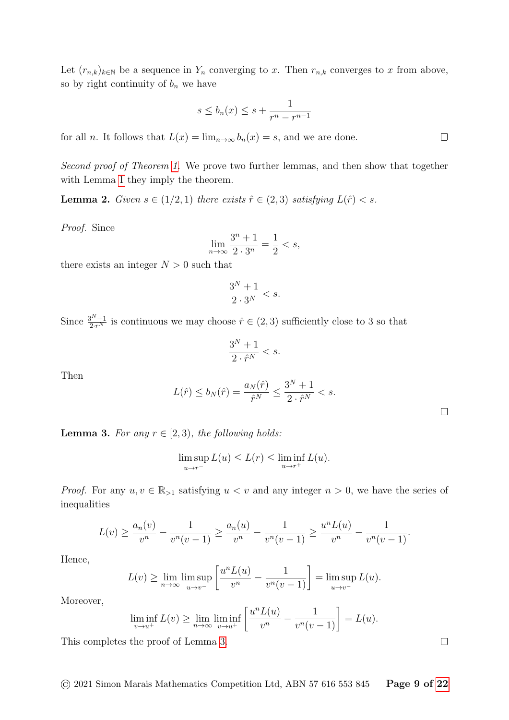Let  $(r_{n,k})_{k\in\mathbb{N}}$  be a sequence in  $Y_n$  converging to x. Then  $r_{n,k}$  converges to x from above, so by right continuity of  $b_n$  we have

$$
s \le b_n(x) \le s + \frac{1}{r^n - r^{n-1}}
$$

for all *n*. It follows that  $L(x) = \lim_{n \to \infty} b_n(x) = s$ , and we are done.

Second proof of Theorem [1.](#page-6-0) We prove two further lemmas, and then show that together with Lemma [1](#page-6-1) they imply the theorem.

<span id="page-8-1"></span>**Lemma 2.** Given  $s \in (1/2, 1)$  there exists  $\hat{r} \in (2, 3)$  satisfying  $L(\hat{r}) < s$ .

Proof. Since

$$
\lim_{n \to \infty} \frac{3^n + 1}{2 \cdot 3^n} = \frac{1}{2} < s,
$$

there exists an integer  $N > 0$  such that

$$
\frac{3^N+1}{2\cdot 3^N} < s.
$$

Since  $\frac{3^{N}+1}{2\cdot r^{N}}$  is continuous we may choose  $\hat{r} \in (2,3)$  sufficiently close to 3 so that

$$
\frac{3^N+1}{2 \cdot \hat{r}^N} < s.
$$

Then

$$
L(\hat{r}) \le b_N(\hat{r}) = \frac{a_N(\hat{r})}{\hat{r}^N} \le \frac{3^N + 1}{2 \cdot \hat{r}^N} < s.
$$

<span id="page-8-0"></span>**Lemma 3.** For any  $r \in [2, 3)$ , the following holds:

$$
\limsup_{u \to r^-} L(u) \le L(r) \le \liminf_{u \to r^+} L(u).
$$

*Proof.* For any  $u, v \in \mathbb{R}_{\geq 1}$  satisfying  $u < v$  and any integer  $n > 0$ , we have the series of inequalities

$$
L(v) \ge \frac{a_n(v)}{v^n} - \frac{1}{v^n(v-1)} \ge \frac{a_n(u)}{v^n} - \frac{1}{v^n(v-1)} \ge \frac{u^n L(u)}{v^n} - \frac{1}{v^n(v-1)}.
$$

Hence,

$$
L(v) \ge \lim_{n \to \infty} \limsup_{u \to v^-} \left[ \frac{u^n L(u)}{v^n} - \frac{1}{v^n (v-1)} \right] = \limsup_{u \to v^-} L(u).
$$

Moreover,

$$
\liminf_{v \to u^+} L(v) \ge \lim_{n \to \infty} \liminf_{v \to u^+} \left[ \frac{u^n L(u)}{v^n} - \frac{1}{v^n (v-1)} \right] = L(u).
$$

This completes the proof of Lemma [3.](#page-8-0)

 $\Box$ 

 $\Box$ 

 $\Box$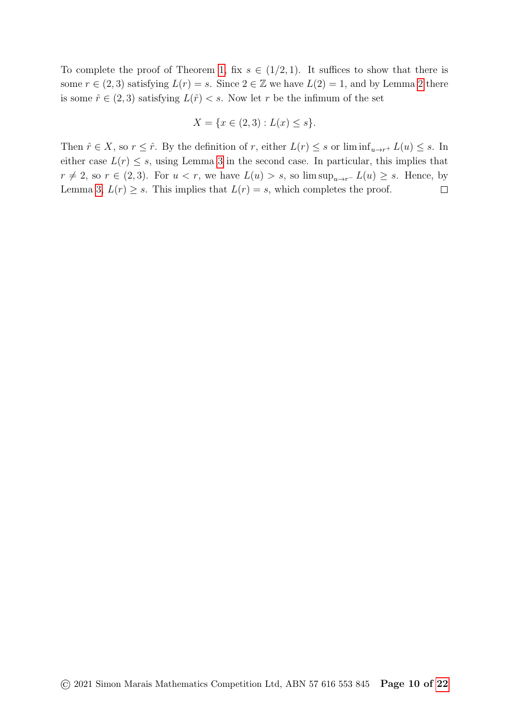To complete the proof of Theorem [1,](#page-6-0) fix  $s \in (1/2, 1)$ . It suffices to show that there is some  $r \in (2,3)$  satisfying  $L(r) = s$ . Since  $2 \in \mathbb{Z}$  we have  $L(2) = 1$ , and by Lemma [2](#page-8-1) there is some  $\hat{r} \in (2,3)$  satisfying  $L(\hat{r}) < s$ . Now let r be the infimum of the set

$$
X = \{ x \in (2,3) : L(x) \le s \}.
$$

Then  $\hat{r} \in X$ , so  $r \leq \hat{r}$ . By the definition of r, either  $L(r) \leq s$  or  $\liminf_{u \to r^+} L(u) \leq s$ . In either case  $L(r) \leq s$ , using Lemma [3](#page-8-0) in the second case. In particular, this implies that  $r \neq 2$ , so  $r \in (2,3)$ . For  $u < r$ , we have  $L(u) > s$ , so  $\limsup_{u \to r^-} L(u) \geq s$ . Hence, by Lemma [3,](#page-8-0)  $L(r) \geq s$ . This implies that  $L(r) = s$ , which completes the proof.  $\Box$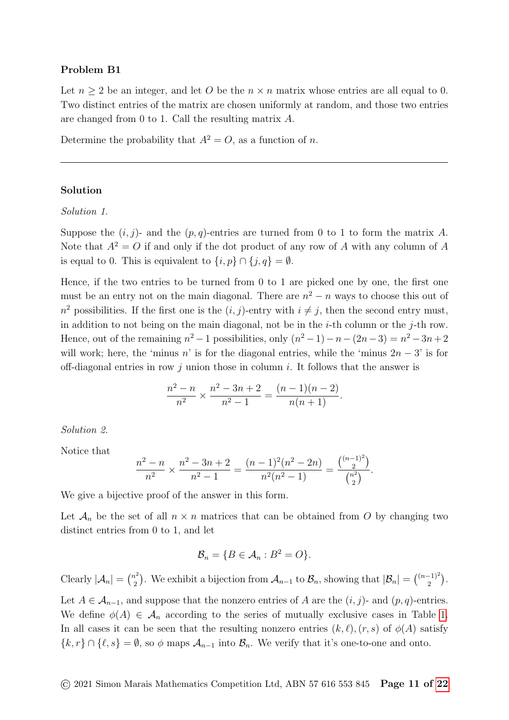### Problem B1

Let  $n \geq 2$  be an integer, and let O be the  $n \times n$  matrix whose entries are all equal to 0. Two distinct entries of the matrix are chosen uniformly at random, and those two entries are changed from 0 to 1. Call the resulting matrix A.

Determine the probability that  $A^2 = O$ , as a function of n.

#### Solution

Solution 1.

Suppose the  $(i, j)$ - and the  $(p, q)$ -entries are turned from 0 to 1 to form the matrix A. Note that  $A^2 = O$  if and only if the dot product of any row of A with any column of A is equal to 0. This is equivalent to  $\{i, p\} \cap \{j, q\} = \emptyset$ .

Hence, if the two entries to be turned from 0 to 1 are picked one by one, the first one must be an entry not on the main diagonal. There are  $n^2 - n$  ways to choose this out of  $n^2$  possibilities. If the first one is the  $(i, j)$ -entry with  $i \neq j$ , then the second entry must, in addition to not being on the main diagonal, not be in the *i*-th column or the *j*-th row. Hence, out of the remaining  $n^2 - 1$  possibilities, only  $(n^2 - 1) - n - (2n - 3) = n^2 - 3n + 2$ will work; here, the 'minus n' is for the diagonal entries, while the 'minus  $2n-3$ ' is for off-diagonal entries in row j union those in column i. It follows that the answer is

$$
\frac{n^2 - n}{n^2} \times \frac{n^2 - 3n + 2}{n^2 - 1} = \frac{(n - 1)(n - 2)}{n(n + 1)}.
$$

Solution 2.

Notice that

$$
\frac{n^2 - n}{n^2} \times \frac{n^2 - 3n + 2}{n^2 - 1} = \frac{(n - 1)^2 (n^2 - 2n)}{n^2 (n^2 - 1)} = \frac{\binom{(n - 1)^2}{2}}{\binom{n^2}{2}}.
$$

We give a bijective proof of the answer in this form.

 $\frac{\eta}{\eta}$ 

Let  $\mathcal{A}_n$  be the set of all  $n \times n$  matrices that can be obtained from O by changing two distinct entries from 0 to 1, and let

$$
\mathcal{B}_n = \{ B \in \mathcal{A}_n : B^2 = O \}.
$$

Clearly  $|\mathcal{A}_n| = \binom{n^2}{2}$  $\mathcal{L}_2^{(2)}$ ). We exhibit a bijection from  $\mathcal{A}_{n-1}$  to  $\mathcal{B}_n$ , showing that  $|\mathcal{B}_n| = \binom{(n-1)^2}{2}$  $\binom{-1)^2}{2}$ .

Let  $A \in \mathcal{A}_{n-1}$ , and suppose that the nonzero entries of A are the  $(i, j)$ - and  $(p, q)$ -entries. We define  $\phi(A) \in \mathcal{A}_n$  according to the series of mutually exclusive cases in Table [1.](#page-11-0) In all cases it can be seen that the resulting nonzero entries  $(k, \ell), (r, s)$  of  $\phi(A)$  satisfy  $\{k, r\} \cap \{\ell, s\} = \emptyset$ , so  $\phi$  maps  $\mathcal{A}_{n-1}$  into  $\mathcal{B}_n$ . We verify that it's one-to-one and onto.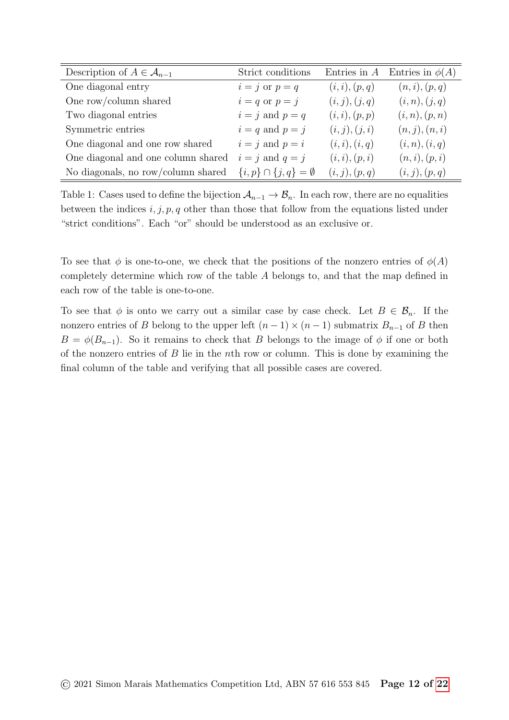| Description of $A \in \mathcal{A}_{n-1}$ | Strict conditions                    | Entries in $A$ | Entries in $\phi(A)$ |
|------------------------------------------|--------------------------------------|----------------|----------------------|
| One diagonal entry                       | $i = j$ or $p = q$                   | (i, i), (p, q) | (n, i), (p, q)       |
| One row/column shared                    | $i = q$ or $p = j$                   | (i, j), (j, q) | (i, n), (j, q)       |
| Two diagonal entries                     | $i = j$ and $p = q$                  | (i, i), (p, p) | (i, n), (p, n)       |
| Symmetric entries                        | $i = q$ and $p = j$                  | (i, j), (j, i) | (n, j), (n, i)       |
| One diagonal and one row shared          | $i = j$ and $p = i$                  | (i, i), (i, q) | (i, n), (i, q)       |
| One diagonal and one column shared       | $i = j$ and $q = j$                  | (i, i), (p, i) | (n,i),(p,i)          |
| No diagonals, no row/column shared       | $\{i, p\} \cap \{j, q\} = \emptyset$ | (i, j), (p, q) | (i, j), (p, q)       |

<span id="page-11-0"></span>Table 1: Cases used to define the bijection  $A_{n-1} \to B_n$ . In each row, there are no equalities between the indices  $i, j, p, q$  other than those that follow from the equations listed under "strict conditions". Each "or" should be understood as an exclusive or.

To see that  $\phi$  is one-to-one, we check that the positions of the nonzero entries of  $\phi(A)$ completely determine which row of the table A belongs to, and that the map defined in each row of the table is one-to-one.

To see that  $\phi$  is onto we carry out a similar case by case check. Let  $B \in \mathcal{B}_n$ . If the nonzero entries of B belong to the upper left  $(n-1) \times (n-1)$  submatrix  $B_{n-1}$  of B then  $B = \phi(B_{n-1})$ . So it remains to check that B belongs to the image of  $\phi$  if one or both of the nonzero entries of  $B$  lie in the nth row or column. This is done by examining the final column of the table and verifying that all possible cases are covered.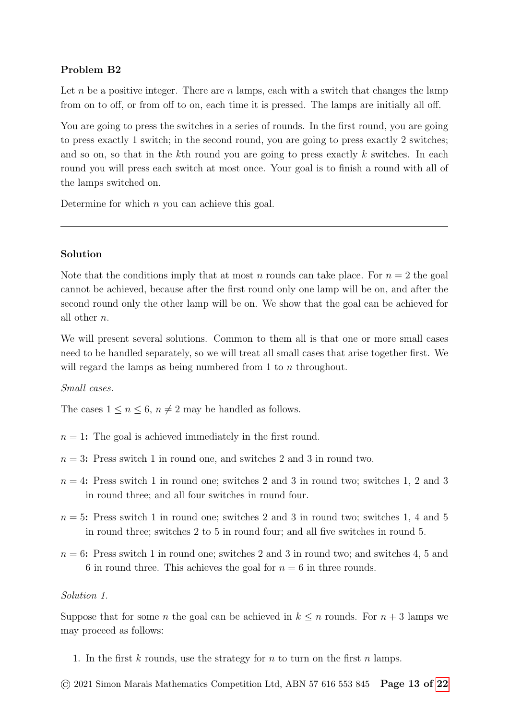# Problem B2

Let n be a positive integer. There are  $n$  lamps, each with a switch that changes the lamp from on to off, or from off to on, each time it is pressed. The lamps are initially all off.

You are going to press the switches in a series of rounds. In the first round, you are going to press exactly 1 switch; in the second round, you are going to press exactly 2 switches; and so on, so that in the kth round you are going to press exactly  $k$  switches. In each round you will press each switch at most once. Your goal is to finish a round with all of the lamps switched on.

Determine for which  $n$  you can achieve this goal.

# Solution

Note that the conditions imply that at most n rounds can take place. For  $n = 2$  the goal cannot be achieved, because after the first round only one lamp will be on, and after the second round only the other lamp will be on. We show that the goal can be achieved for all other n.

We will present several solutions. Common to them all is that one or more small cases need to be handled separately, so we will treat all small cases that arise together first. We will regard the lamps as being numbered from 1 to *n* throughout.

### Small cases.

The cases  $1 \leq n \leq 6$ ,  $n \neq 2$  may be handled as follows.

- $n = 1$ : The goal is achieved immediately in the first round.
- $n = 3$ : Press switch 1 in round one, and switches 2 and 3 in round two.
- $n = 4$ : Press switch 1 in round one; switches 2 and 3 in round two; switches 1, 2 and 3 in round three; and all four switches in round four.
- $n = 5$ : Press switch 1 in round one; switches 2 and 3 in round two; switches 1, 4 and 5 in round three; switches 2 to 5 in round four; and all five switches in round 5.
- $n = 6$ : Press switch 1 in round one; switches 2 and 3 in round two; and switches 4, 5 and 6 in round three. This achieves the goal for  $n = 6$  in three rounds.

## Solution 1.

Suppose that for some *n* the goal can be achieved in  $k \leq n$  rounds. For  $n + 3$  lamps we may proceed as follows:

- 1. In the first  $k$  rounds, use the strategy for  $n$  to turn on the first  $n$  lamps.
- © 2021 Simon Marais Mathematics Competition Ltd, ABN 57 616 553 845 Page 13 of [22](#page-21-0)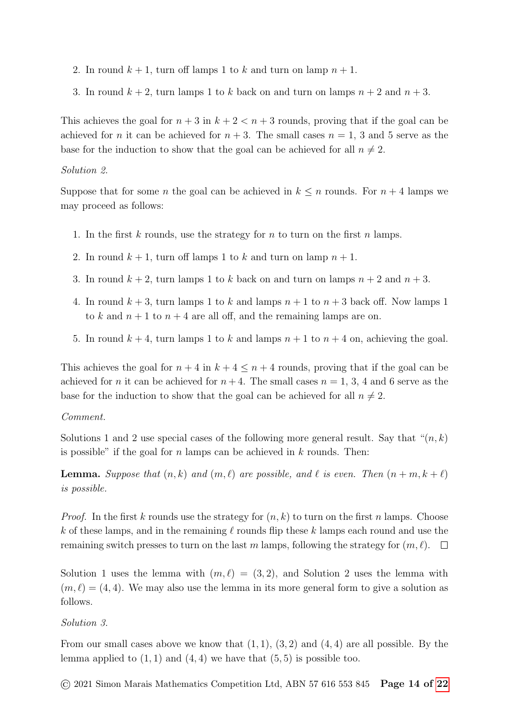- 2. In round  $k + 1$ , turn off lamps 1 to k and turn on lamp  $n + 1$ .
- 3. In round  $k + 2$ , turn lamps 1 to k back on and turn on lamps  $n + 2$  and  $n + 3$ .

This achieves the goal for  $n + 3$  in  $k + 2 < n + 3$  rounds, proving that if the goal can be achieved for *n* it can be achieved for  $n + 3$ . The small cases  $n = 1, 3$  and 5 serve as the base for the induction to show that the goal can be achieved for all  $n \neq 2$ .

#### Solution 2.

Suppose that for some *n* the goal can be achieved in  $k \leq n$  rounds. For  $n + 4$  lamps we may proceed as follows:

- 1. In the first k rounds, use the strategy for n to turn on the first n lamps.
- 2. In round  $k + 1$ , turn off lamps 1 to k and turn on lamp  $n + 1$ .
- 3. In round  $k + 2$ , turn lamps 1 to k back on and turn on lamps  $n + 2$  and  $n + 3$ .
- 4. In round  $k+3$ , turn lamps 1 to k and lamps  $n+1$  to  $n+3$  back off. Now lamps 1 to k and  $n + 1$  to  $n + 4$  are all off, and the remaining lamps are on.
- 5. In round  $k + 4$ , turn lamps 1 to k and lamps  $n + 1$  to  $n + 4$  on, achieving the goal.

This achieves the goal for  $n + 4$  in  $k + 4 \leq n + 4$  rounds, proving that if the goal can be achieved for n it can be achieved for  $n+4$ . The small cases  $n = 1, 3, 4$  and 6 serve as the base for the induction to show that the goal can be achieved for all  $n \neq 2$ .

#### Comment.

Solutions 1 and 2 use special cases of the following more general result. Say that " $(n, k)$ " is possible" if the goal for  $n$  lamps can be achieved in  $k$  rounds. Then:

**Lemma.** Suppose that  $(n, k)$  and  $(m, \ell)$  are possible, and  $\ell$  is even. Then  $(n + m, k + \ell)$ is possible.

*Proof.* In the first k rounds use the strategy for  $(n, k)$  to turn on the first n lamps. Choose k of these lamps, and in the remaining  $\ell$  rounds flip these k lamps each round and use the remaining switch presses to turn on the last m lamps, following the strategy for  $(m, \ell)$ .  $\Box$ 

Solution 1 uses the lemma with  $(m, \ell) = (3, 2)$ , and Solution 2 uses the lemma with  $(m, \ell) = (4, 4)$ . We may also use the lemma in its more general form to give a solution as follows.

Solution 3.

From our small cases above we know that  $(1, 1), (3, 2)$  and  $(4, 4)$  are all possible. By the lemma applied to  $(1, 1)$  and  $(4, 4)$  we have that  $(5, 5)$  is possible too.

© 2021 Simon Marais Mathematics Competition Ltd, ABN 57 616 553 845 Page 14 of [22](#page-21-0)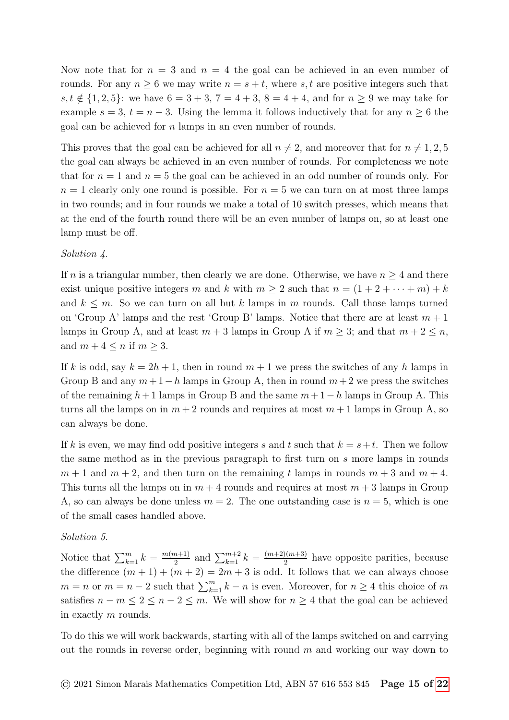Now note that for  $n = 3$  and  $n = 4$  the goal can be achieved in an even number of rounds. For any  $n \geq 6$  we may write  $n = s + t$ , where s, t are positive integers such that s,  $t \notin \{1, 2, 5\}$ : we have  $6 = 3 + 3$ ,  $7 = 4 + 3$ ,  $8 = 4 + 4$ , and for  $n \geq 9$  we may take for example  $s = 3$ ,  $t = n - 3$ . Using the lemma it follows inductively that for any  $n \geq 6$  the goal can be achieved for n lamps in an even number of rounds.

This proves that the goal can be achieved for all  $n \neq 2$ , and moreover that for  $n \neq 1, 2, 5$ the goal can always be achieved in an even number of rounds. For completeness we note that for  $n = 1$  and  $n = 5$  the goal can be achieved in an odd number of rounds only. For  $n = 1$  clearly only one round is possible. For  $n = 5$  we can turn on at most three lamps in two rounds; and in four rounds we make a total of 10 switch presses, which means that at the end of the fourth round there will be an even number of lamps on, so at least one lamp must be off.

# Solution 4.

If n is a triangular number, then clearly we are done. Otherwise, we have  $n \geq 4$  and there exist unique positive integers m and k with  $m \geq 2$  such that  $n = (1 + 2 + \cdots + m) + k$ and  $k \leq m$ . So we can turn on all but k lamps in m rounds. Call those lamps turned on 'Group A' lamps and the rest 'Group B' lamps. Notice that there are at least  $m + 1$ lamps in Group A, and at least  $m + 3$  lamps in Group A if  $m \geq 3$ ; and that  $m + 2 \leq n$ , and  $m + 4 \leq n$  if  $m \geq 3$ .

If k is odd, say  $k = 2h + 1$ , then in round  $m + 1$  we press the switches of any h lamps in Group B and any  $m+1-h$  lamps in Group A, then in round  $m+2$  we press the switches of the remaining  $h+1$  lamps in Group B and the same  $m+1-h$  lamps in Group A. This turns all the lamps on in  $m + 2$  rounds and requires at most  $m + 1$  lamps in Group A, so can always be done.

If k is even, we may find odd positive integers s and t such that  $k = s+t$ . Then we follow the same method as in the previous paragraph to first turn on s more lamps in rounds  $m + 1$  and  $m + 2$ , and then turn on the remaining t lamps in rounds  $m + 3$  and  $m + 4$ . This turns all the lamps on in  $m + 4$  rounds and requires at most  $m + 3$  lamps in Group A, so can always be done unless  $m = 2$ . The one outstanding case is  $n = 5$ , which is one of the small cases handled above.

### Solution 5.

Notice that  $\sum_{k=1}^{m} k = \frac{m(m+1)}{2}$  $\frac{(m+1)}{2}$  and  $\sum_{k=1}^{m+2} k = \frac{(m+2)(m+3)}{2}$  $\frac{2(n+3)}{2}$  have opposite parities, because the difference  $(m + 1) + (m + 2) = 2m + 3$  is odd. It follows that we can always choose  $m = n$  or  $m = n - 2$  such that  $\sum_{k=1}^{m} k - n$  is even. Moreover, for  $n \geq 4$  this choice of m satisfies  $n - m \leq 2 \leq n - 2 \leq m$ . We will show for  $n \geq 4$  that the goal can be achieved in exactly m rounds.

To do this we will work backwards, starting with all of the lamps switched on and carrying out the rounds in reverse order, beginning with round  $m$  and working our way down to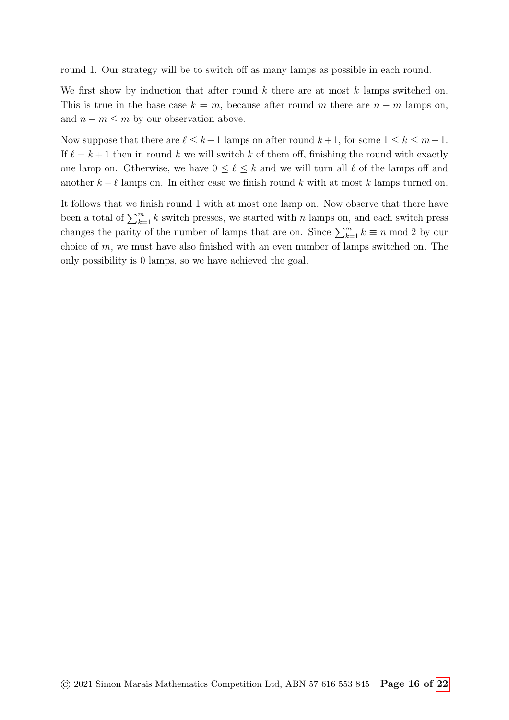round 1. Our strategy will be to switch off as many lamps as possible in each round.

We first show by induction that after round  $k$  there are at most  $k$  lamps switched on. This is true in the base case  $k = m$ , because after round m there are  $n - m$  lamps on, and  $n - m \leq m$  by our observation above.

Now suppose that there are  $\ell \leq k+1$  lamps on after round  $k+1$ , for some  $1 \leq k \leq m-1$ . If  $\ell = k + 1$  then in round k we will switch k of them off, finishing the round with exactly one lamp on. Otherwise, we have  $0 \leq \ell \leq k$  and we will turn all  $\ell$  of the lamps off and another  $k - \ell$  lamps on. In either case we finish round k with at most k lamps turned on.

It follows that we finish round 1 with at most one lamp on. Now observe that there have been a total of  $\sum_{k=1}^{m} k$  switch presses, we started with n lamps on, and each switch press changes the parity of the number of lamps that are on. Since  $\sum_{k=1}^{m} k \equiv n \mod 2$  by our choice of  $m$ , we must have also finished with an even number of lamps switched on. The only possibility is 0 lamps, so we have achieved the goal.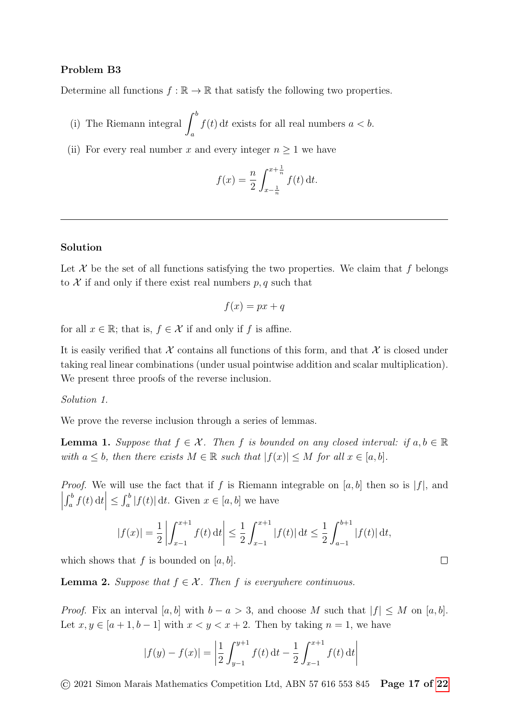## Problem B3

Determine all functions  $f : \mathbb{R} \to \mathbb{R}$  that satisfy the following two properties.

- (i) The Riemann integral  $\int^b$ a  $f(t)$  dt exists for all real numbers  $a < b$ .
- (ii) For every real number x and every integer  $n \geq 1$  we have

$$
f(x) = \frac{n}{2} \int_{x - \frac{1}{n}}^{x + \frac{1}{n}} f(t) dt.
$$

#### Solution

Let  $\mathcal X$  be the set of all functions satisfying the two properties. We claim that f belongs to  $\mathcal X$  if and only if there exist real numbers  $p, q$  such that

$$
f(x) = px + q
$$

for all  $x \in \mathbb{R}$ ; that is,  $f \in \mathcal{X}$  if and only if f is affine.

It is easily verified that  $\mathcal X$  contains all functions of this form, and that  $\mathcal X$  is closed under taking real linear combinations (under usual pointwise addition and scalar multiplication). We present three proofs of the reverse inclusion.

#### Solution 1.

We prove the reverse inclusion through a series of lemmas.

**Lemma 1.** Suppose that  $f \in \mathcal{X}$ . Then f is bounded on any closed interval: if  $a, b \in \mathbb{R}$ with  $a \leq b$ , then there exists  $M \in \mathbb{R}$  such that  $|f(x)| \leq M$  for all  $x \in [a, b]$ .

*Proof.* We will use the fact that if f is Riemann integrable on [a, b] then so is  $|f|$ , and  $\begin{array}{c} \begin{array}{c} \begin{array}{c} \end{array}\\ \begin{array}{c} \end{array} \end{array} \end{array}$  $\left| \int_a^b f(t) dt \right| \leq \int_a^b |f(t)| dt$ . Given  $x \in [a, b]$  we have

$$
|f(x)| = \frac{1}{2} \left| \int_{x-1}^{x+1} f(t) dt \right| \le \frac{1}{2} \int_{x-1}^{x+1} |f(t)| dt \le \frac{1}{2} \int_{a-1}^{b+1} |f(t)| dt,
$$

 $\Box$ 

which shows that f is bounded on  $[a, b]$ .

**Lemma 2.** Suppose that  $f \in \mathcal{X}$ . Then f is everywhere continuous.

*Proof.* Fix an interval [a, b] with  $b - a > 3$ , and choose M such that  $|f| \leq M$  on [a, b]. Let  $x, y \in [a+1, b-1]$  with  $x < y < x+2$ . Then by taking  $n = 1$ , we have

$$
|f(y) - f(x)| = \left| \frac{1}{2} \int_{y-1}^{y+1} f(t) dt - \frac{1}{2} \int_{x-1}^{x+1} f(t) dt \right|
$$

 $\odot$  2021 Simon Marais Mathematics Competition Ltd, ABN 57 616 553 845 **Page 17 of [22](#page-21-0)**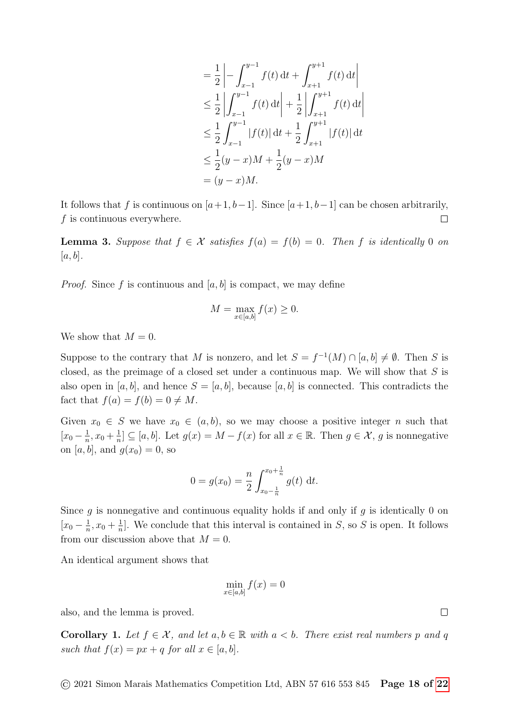$$
= \frac{1}{2} \left| -\int_{x-1}^{y-1} f(t) dt + \int_{x+1}^{y+1} f(t) dt \right|
$$
  
\n
$$
\leq \frac{1}{2} \left| \int_{x-1}^{y-1} f(t) dt \right| + \frac{1}{2} \left| \int_{x+1}^{y+1} f(t) dt \right|
$$
  
\n
$$
\leq \frac{1}{2} \int_{x-1}^{y-1} |f(t)| dt + \frac{1}{2} \int_{x+1}^{y+1} |f(t)| dt
$$
  
\n
$$
\leq \frac{1}{2} (y-x)M + \frac{1}{2} (y-x)M
$$
  
\n
$$
= (y-x)M.
$$

It follows that f is continuous on  $[a+1, b-1]$ . Since  $[a+1, b-1]$  can be chosen arbitrarily,  $f$  is continuous everywhere.  $\Box$ 

**Lemma 3.** Suppose that  $f \in \mathcal{X}$  satisfies  $f(a) = f(b) = 0$ . Then f is identically 0 on  $[a, b]$ .

*Proof.* Since f is continuous and  $[a, b]$  is compact, we may define

$$
M = \max_{x \in [a,b]} f(x) \ge 0.
$$

We show that  $M = 0$ .

Suppose to the contrary that M is nonzero, and let  $S = f^{-1}(M) \cap [a, b] \neq \emptyset$ . Then S is closed, as the preimage of a closed set under a continuous map. We will show that  $S$  is also open in [a, b], and hence  $S = [a, b]$ , because [a, b] is connected. This contradicts the fact that  $f(a) = f(b) = 0 \neq M$ .

Given  $x_0 \in S$  we have  $x_0 \in (a, b)$ , so we may choose a positive integer n such that  $\left[x_0 - \frac{1}{n}\right]$  $\frac{1}{n}$ ,  $x_0 + \frac{1}{n}$  $\frac{1}{n}$ ]  $\subseteq$  [a, b]. Let  $g(x) = M - f(x)$  for all  $x \in \mathbb{R}$ . Then  $g \in \mathcal{X}$ , g is nonnegative on [a, b], and  $g(x_0) = 0$ , so

$$
0 = g(x_0) = \frac{n}{2} \int_{x_0 - \frac{1}{n}}^{x_0 + \frac{1}{n}} g(t) dt.
$$

Since g is nonnegative and continuous equality holds if and only if g is identically 0 on  $\left[x_0 - \frac{1}{n}\right]$  $\frac{1}{n}$ ,  $x_0 + \frac{1}{n}$  $\frac{1}{n}$ . We conclude that this interval is contained in S, so S is open. It follows from our discussion above that  $M = 0$ .

An identical argument shows that

$$
\min_{x \in [a,b]} f(x) = 0
$$

also, and the lemma is proved.

**Corollary 1.** Let  $f \in \mathcal{X}$ , and let  $a, b \in \mathbb{R}$  with  $a < b$ . There exist real numbers p and q such that  $f(x) = px + q$  for all  $x \in [a, b]$ .

 $\odot$  2021 Simon Marais Mathematics Competition Ltd, ABN 57 616 553 845 **Page 18 of [22](#page-21-0)** 

 $\Box$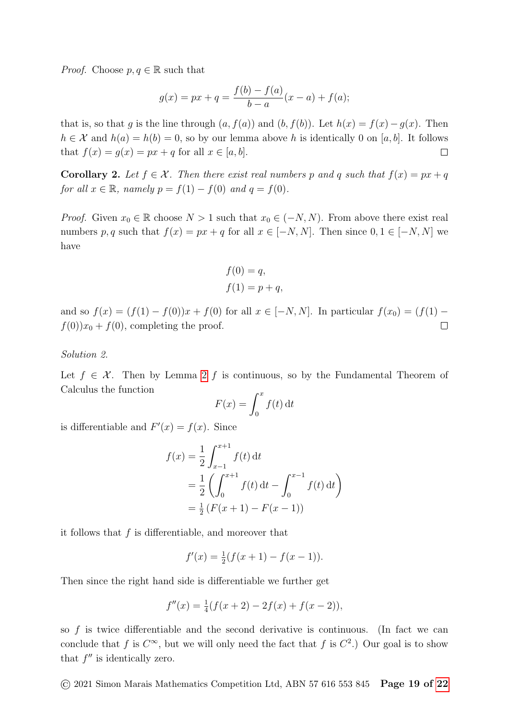*Proof.* Choose  $p, q \in \mathbb{R}$  such that

$$
g(x) = px + q = \frac{f(b) - f(a)}{b - a}(x - a) + f(a);
$$

that is, so that g is the line through  $(a, f(a))$  and  $(b, f(b))$ . Let  $h(x) = f(x) - g(x)$ . Then  $h \in \mathcal{X}$  and  $h(a) = h(b) = 0$ , so by our lemma above h is identically 0 on [a, b]. It follows that  $f(x) = g(x) = px + q$  for all  $x \in [a, b]$ .  $\Box$ 

**Corollary 2.** Let  $f \in \mathcal{X}$ . Then there exist real numbers p and q such that  $f(x) = px + q$ for all  $x \in \mathbb{R}$ , namely  $p = f(1) - f(0)$  and  $q = f(0)$ .

*Proof.* Given  $x_0 \in \mathbb{R}$  choose  $N > 1$  such that  $x_0 \in (-N, N)$ . From above there exist real numbers p, q such that  $f(x) = px + q$  for all  $x \in [-N, N]$ . Then since  $0, 1 \in [-N, N]$  we have

$$
f(0) = q,
$$
  

$$
f(1) = p + q,
$$

and so  $f(x) = (f(1) - f(0))x + f(0)$  for all  $x \in [-N, N]$ . In particular  $f(x_0) = (f(1) - f(0))x + f(0)$  $f(0)x_0 + f(0)$ , completing the proof.  $\Box$ 

Solution 2.

Let  $f \in \mathcal{X}$ . Then by Lemma [2](#page-8-1) f is continuous, so by the Fundamental Theorem of Calculus the function

$$
F(x) = \int_0^x f(t) \, \mathrm{d}t
$$

is differentiable and  $F'(x) = f(x)$ . Since

$$
f(x) = \frac{1}{2} \int_{x-1}^{x+1} f(t) dt
$$
  
=  $\frac{1}{2} \left( \int_0^{x+1} f(t) dt - \int_0^{x-1} f(t) dt \right)$   
=  $\frac{1}{2} (F(x+1) - F(x-1))$ 

it follows that  $f$  is differentiable, and moreover that

$$
f'(x) = \frac{1}{2}(f(x+1) - f(x-1)).
$$

Then since the right hand side is differentiable we further get

$$
f''(x) = \frac{1}{4}(f(x+2) - 2f(x) + f(x-2)),
$$

so  $f$  is twice differentiable and the second derivative is continuous. (In fact we can conclude that f is  $C^{\infty}$ , but we will only need the fact that f is  $C^2$ .) Our goal is to show that  $f''$  is identically zero.

 $\odot$  2021 Simon Marais Mathematics Competition Ltd, ABN 57 616 553 845 **Page 19 of [22](#page-21-0)**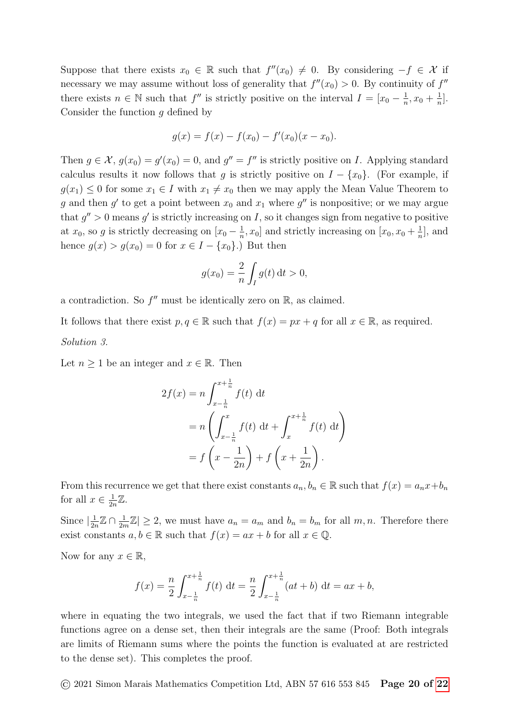Suppose that there exists  $x_0 \in \mathbb{R}$  such that  $f''(x_0) \neq 0$ . By considering  $-f \in \mathcal{X}$  if necessary we may assume without loss of generality that  $f''(x_0) > 0$ . By continuity of  $f''$ there exists  $n \in \mathbb{N}$  such that  $f''$  is strictly positive on the interval  $I = [x_0 - \frac{1}{n}]$  $\frac{1}{n}, x_0 + \frac{1}{n}$  $\frac{1}{n}$ . Consider the function  $q$  defined by

$$
g(x) = f(x) - f(x_0) - f'(x_0)(x - x_0).
$$

Then  $g \in \mathcal{X}$ ,  $g(x_0) = g'(x_0) = 0$ , and  $g'' = f''$  is strictly positive on *I*. Applying standard calculus results it now follows that g is strictly positive on  $I - \{x_0\}$ . (For example, if  $g(x_1) \leq 0$  for some  $x_1 \in I$  with  $x_1 \neq x_0$  then we may apply the Mean Value Theorem to g and then g' to get a point between  $x_0$  and  $x_1$  where g'' is nonpositive; or we may argue that  $g'' > 0$  means g' is strictly increasing on I, so it changes sign from negative to positive at  $x_0$ , so g is strictly decreasing on  $[x_0 - \frac{1}{n}]$  $\frac{1}{n}$ ,  $x_0$  and strictly increasing on  $[x_0, x_0 + \frac{1}{n}]$  $\frac{1}{n}$ , and hence  $g(x) > g(x_0) = 0$  for  $x \in I - \{x_0\}$ .) But then

$$
g(x_0) = \frac{2}{n} \int_I g(t) \, \mathrm{d}t > 0,
$$

a contradiction. So  $f''$  must be identically zero on  $\mathbb{R}$ , as claimed.

It follows that there exist  $p, q \in \mathbb{R}$  such that  $f(x) = px + q$  for all  $x \in \mathbb{R}$ , as required. Solution 3.

Let  $n \geq 1$  be an integer and  $x \in \mathbb{R}$ . Then

$$
2f(x) = n \int_{x - \frac{1}{n}}^{x + \frac{1}{n}} f(t) dt
$$
  
=  $n \left( \int_{x - \frac{1}{n}}^{x} f(t) dt + \int_{x}^{x + \frac{1}{n}} f(t) dt \right)$   
=  $f \left( x - \frac{1}{2n} \right) + f \left( x + \frac{1}{2n} \right).$ 

From this recurrence we get that there exist constants  $a_n, b_n \in \mathbb{R}$  such that  $f(x) = a_n x + b_n$ for all  $x \in \frac{1}{2}$  $\frac{1}{2n}\mathbb{Z}.$ 

Since  $\frac{1}{2}$  $\frac{1}{2n}\mathbb{Z} \cap \frac{1}{2n}$  $\frac{1}{2m}\mathbb{Z}|\geq 2$ , we must have  $a_n=a_m$  and  $b_n=b_m$  for all  $m,n$ . Therefore there exist constants  $a, b \in \mathbb{R}$  such that  $f(x) = ax + b$  for all  $x \in \mathbb{Q}$ .

Now for any  $x \in \mathbb{R}$ ,

$$
f(x) = \frac{n}{2} \int_{x - \frac{1}{n}}^{x + \frac{1}{n}} f(t) dt = \frac{n}{2} \int_{x - \frac{1}{n}}^{x + \frac{1}{n}} (at + b) dt = ax + b,
$$

where in equating the two integrals, we used the fact that if two Riemann integrable functions agree on a dense set, then their integrals are the same (Proof: Both integrals are limits of Riemann sums where the points the function is evaluated at are restricted to the dense set). This completes the proof.

© 2021 Simon Marais Mathematics Competition Ltd, ABN 57 616 553 845 Page 20 of [22](#page-21-0)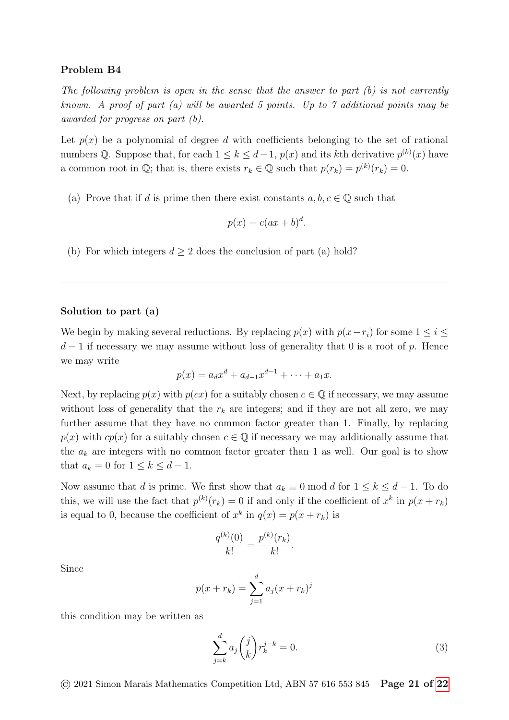### Problem B4

The following problem is open in the sense that the answer to part  $(b)$  is not currently known. A proof of part (a) will be awarded 5 points. Up to 7 additional points may be awarded for progress on part (b).

Let  $p(x)$  be a polynomial of degree d with coefficients belonging to the set of rational numbers Q. Suppose that, for each  $1 \leq k \leq d-1$ ,  $p(x)$  and its kth derivative  $p^{(k)}(x)$  have a common root in  $\mathbb{Q}$ ; that is, there exists  $r_k \in \mathbb{Q}$  such that  $p(r_k) = p^{(k)}(r_k) = 0$ .

(a) Prove that if d is prime then there exist constants  $a, b, c \in \mathbb{Q}$  such that

$$
p(x) = c(ax + b)^d.
$$

(b) For which integers  $d > 2$  does the conclusion of part (a) hold?

#### Solution to part (a)

We begin by making several reductions. By replacing  $p(x)$  with  $p(x-r_i)$  for some  $1 \leq i \leq$  $d-1$  if necessary we may assume without loss of generality that 0 is a root of p. Hence we may write

$$
p(x) = a_d x^d + a_{d-1} x^{d-1} + \dots + a_1 x.
$$

Next, by replacing  $p(x)$  with  $p(cx)$  for a suitably chosen  $c \in \mathbb{Q}$  if necessary, we may assume without loss of generality that the  $r_k$  are integers; and if they are not all zero, we may further assume that they have no common factor greater than 1. Finally, by replacing  $p(x)$  with  $cp(x)$  for a suitably chosen  $c \in \mathbb{Q}$  if necessary we may additionally assume that the  $a_k$  are integers with no common factor greater than 1 as well. Our goal is to show that  $a_k = 0$  for  $1 \leq k \leq d-1$ .

Now assume that d is prime. We first show that  $a_k \equiv 0 \mod d$  for  $1 \leq k \leq d-1$ . To do this, we will use the fact that  $p^{(k)}(r_k) = 0$  if and only if the coefficient of  $x^k$  in  $p(x + r_k)$ is equal to 0, because the coefficient of  $x^k$  in  $q(x) = p(x + r_k)$  is

$$
\frac{q^{(k)}(0)}{k!} = \frac{p^{(k)}(r_k)}{k!}.
$$

Since

$$
p(x + r_k) = \sum_{j=1}^{d} a_j (x + r_k)^j
$$

this condition may be written as

<span id="page-20-0"></span>
$$
\sum_{j=k}^{d} a_j \binom{j}{k} r_k^{j-k} = 0.
$$
\n(3)